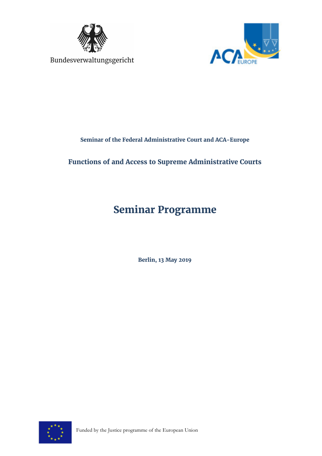



**Seminar of the Federal Administrative Court and ACA-Europe** 

## **Functions of and Access to Supreme Administrative Courts**

## **Seminar Programme**

**Berlin, 13 May 2019** 

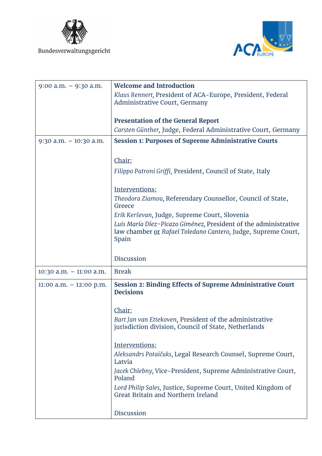

Bundesverwaltungsgericht



| $9:00$ a.m. $-9:30$ a.m.   | <b>Welcome and Introduction</b>                                                                                                           |
|----------------------------|-------------------------------------------------------------------------------------------------------------------------------------------|
|                            | Klaus Rennert, President of ACA-Europe, President, Federal<br>Administrative Court, Germany                                               |
|                            | <b>Presentation of the General Report</b>                                                                                                 |
|                            | Carsten Günther, Judge, Federal Administrative Court, Germany                                                                             |
| $9:30$ a.m. $-10:30$ a.m.  | <b>Session 1: Purposes of Supreme Administrative Courts</b>                                                                               |
|                            | Chair:                                                                                                                                    |
|                            | Filippo Patroni Griffi, President, Council of State, Italy                                                                                |
|                            | Interventions:                                                                                                                            |
|                            | Theodora Ziamou, Referendary Counsellor, Council of State,<br>Greece                                                                      |
|                            | Erik Kerševan, Judge, Supreme Court, Slovenia                                                                                             |
|                            | Luis María Díez-Picazo Giménez, President of the administrative<br>law chamber or Rafael Toledano Cantero, Judge, Supreme Court,<br>Spain |
|                            | <b>Discussion</b>                                                                                                                         |
| $10:30$ a.m. $-11:00$ a.m. | <b>Break</b>                                                                                                                              |
| $11:00$ a.m. $-12:00$ p.m. | <b>Session 2: Binding Effects of Supreme Administrative Court</b><br><b>Decisions</b>                                                     |
|                            |                                                                                                                                           |
|                            | Chair:                                                                                                                                    |
|                            | Bart Jan van Ettekoven, President of the administrative<br>jurisdiction division, Council of State, Netherlands                           |
|                            | Interventions:                                                                                                                            |
|                            | Aleksandrs Potaičuks, Legal Research Counsel, Supreme Court,<br>Latvia                                                                    |
|                            | Jacek Chlebny, Vice-President, Supreme Administrative Court,<br>Poland                                                                    |
|                            | Lord Philip Sales, Justice, Supreme Court, United Kingdom of<br>Great Britain and Northern Ireland                                        |
|                            | <b>Discussion</b>                                                                                                                         |